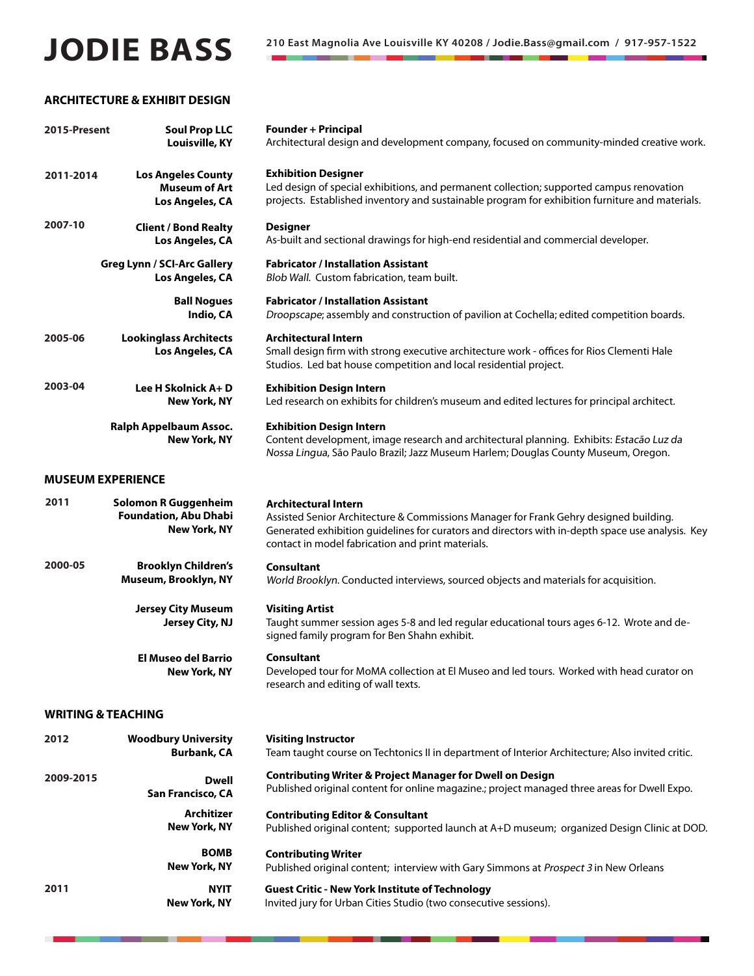# **JODIE BASS** <sup>210 East Magnolia Ave Louisville KY 40208 / Jodie.Bass@gmail.com / 917-957-1522</sup>

# **ARCHITECTURE & EXHIBIT DESIGN**

| 2015-Present | <b>Soul Prop LLC</b><br>Louisville, KY                                      | <b>Founder + Principal</b><br>Architectural design and development company, focused on community-minded creative work.                                                                                                                                                        |
|--------------|-----------------------------------------------------------------------------|-------------------------------------------------------------------------------------------------------------------------------------------------------------------------------------------------------------------------------------------------------------------------------|
| 2011-2014    | <b>Los Angeles County</b><br><b>Museum of Art</b><br>Los Angeles, CA        | <b>Exhibition Designer</b><br>Led design of special exhibitions, and permanent collection; supported campus renovation<br>projects. Established inventory and sustainable program for exhibition furniture and materials.                                                     |
| 2007-10      | <b>Client / Bond Realty</b><br>Los Angeles, CA                              | <b>Designer</b><br>As-built and sectional drawings for high-end residential and commercial developer.                                                                                                                                                                         |
|              | <b>Greg Lynn / SCI-Arc Gallery</b><br>Los Angeles, CA                       | <b>Fabricator / Installation Assistant</b><br>Blob Wall. Custom fabrication, team built.                                                                                                                                                                                      |
|              | <b>Ball Nogues</b><br>Indio, CA                                             | <b>Fabricator / Installation Assistant</b><br>Droopscape; assembly and construction of pavilion at Cochella; edited competition boards.                                                                                                                                       |
| 2005-06      | <b>Lookinglass Architects</b><br>Los Angeles, CA                            | <b>Architectural Intern</b><br>Small design firm with strong executive architecture work - offices for Rios Clementi Hale<br>Studios. Led bat house competition and local residential project.                                                                                |
| 2003-04      | Lee H Skolnick A+D<br><b>New York, NY</b>                                   | <b>Exhibition Design Intern</b><br>Led research on exhibits for children's museum and edited lectures for principal architect.                                                                                                                                                |
|              | Ralph Appelbaum Assoc.<br><b>New York, NY</b>                               | <b>Exhibition Design Intern</b><br>Content development, image research and architectural planning. Exhibits: Estacão Luz da<br>Nossa Lingua, São Paulo Brazil; Jazz Museum Harlem; Douglas County Museum, Oregon.                                                             |
|              | <b>MUSEUM EXPERIENCE</b>                                                    |                                                                                                                                                                                                                                                                               |
| 2011         | Solomon R Guggenheim<br><b>Foundation, Abu Dhabi</b><br><b>New York, NY</b> | <b>Architectural Intern</b><br>Assisted Senior Architecture & Commissions Manager for Frank Gehry designed building.<br>Generated exhibition guidelines for curators and directors with in-depth space use analysis. Key<br>contact in model fabrication and print materials. |
| 2000-05      | <b>Brooklyn Children's</b><br>Museum, Brooklyn, NY                          | <b>Consultant</b><br>World Brooklyn. Conducted interviews, sourced objects and materials for acquisition.                                                                                                                                                                     |
|              | <b>Jersey City Museum</b><br>Jersey City, NJ                                | <b>Visiting Artist</b><br>Taught summer session ages 5-8 and led regular educational tours ages 6-12. Wrote and de-<br>signed family program for Ben Shahn exhibit.                                                                                                           |
|              | El Museo del Barrio<br>New York, NY                                         | <b>Consultant</b><br>Developed tour for MoMA collection at El Museo and led tours. Worked with head curator on<br>research and editing of wall texts.                                                                                                                         |
|              | <b>WRITING &amp; TEACHING</b>                                               |                                                                                                                                                                                                                                                                               |
| 2012         | <b>Woodbury University</b><br><b>Burbank, CA</b>                            | <b>Visiting Instructor</b><br>Team taught course on Techtonics II in department of Interior Architecture; Also invited critic.                                                                                                                                                |
| 2009-2015    | Dwell<br>San Francisco, CA                                                  | <b>Contributing Writer &amp; Project Manager for Dwell on Design</b><br>Published original content for online magazine.; project managed three areas for Dwell Expo.                                                                                                          |
|              | <b>Architizer</b><br><b>New York, NY</b>                                    | <b>Contributing Editor &amp; Consultant</b><br>Published original content; supported launch at A+D museum; organized Design Clinic at DOD.                                                                                                                                    |
|              | <b>BOMB</b><br>New York, NY                                                 | <b>Contributing Writer</b><br>Published original content; interview with Gary Simmons at Prospect 3 in New Orleans                                                                                                                                                            |
| 2011         | <b>NYIT</b><br><b>New York, NY</b>                                          | <b>Guest Critic - New York Institute of Technology</b><br>Invited jury for Urban Cities Studio (two consecutive sessions).                                                                                                                                                    |